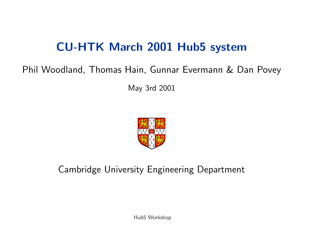# CU-HTK March 2001 Hub5 system

#### Phil Woodland, Thomas Hain, Gunnar Evermann & Dan Povey

May 3rd 2001



#### Cambridge University Engineering Department

Hub5 Workshop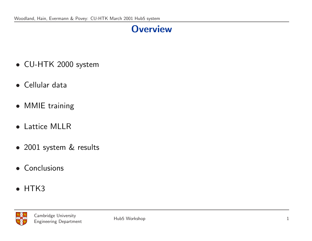### **Overview**

- CU-HTK 2000 system
- Cellular data
- MMIE training
- Lattice MLLR
- 2001 system & results
- Conclusions
- HTK3

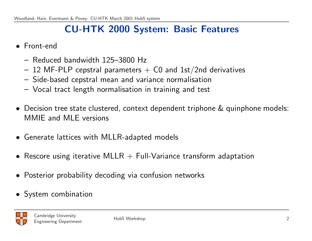### CU-HTK 2000 System: Basic Features

- Front-end
	- Reduced bandwidth 125–3800 Hz
	- $-$  12 MF-PLP cepstral parameters  $+$  C0 and 1st/2nd derivatives
	- Side-based cepstral mean and variance normalisation
	- Vocal tract length normalisation in training and test
- Decision tree state clustered, context dependent triphone & quinphone models: MMIE and MLE versions
- Generate lattices with MLLR-adapted models
- Rescore using iterative MLLR  $+$  Full-Variance transform adaptation
- Posterior probability decoding via confusion networks
- System combination

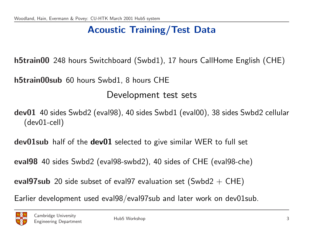### Acoustic Training/Test Data

h5train00 248 hours Switchboard (Swbd1), 17 hours CallHome English (CHE)

h5train00sub 60 hours Swbd1, 8 hours CHE

Development test sets

dev01 40 sides Swbd2 (eval98), 40 sides Swbd1 (eval00), 38 sides Swbd2 cellular (dev01-cell)

dev01sub half of the dev01 selected to give similar WER to full set

eval98 40 sides Swbd2 (eval98-swbd2), 40 sides of CHE (eval98-che)

eval97sub 20 side subset of eval97 evaluation set (Swbd2 + CHE)

Earlier development used eval98/eval97sub and later work on dev01sub.

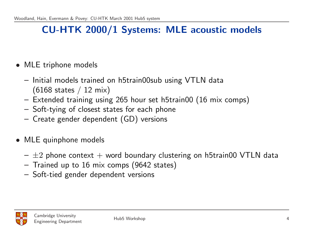#### CU-HTK 2000/1 Systems: MLE acoustic models

- MLE triphone models
	- Initial models trained on h5train00sub using VTLN data  $(6168 \text{ states} / 12 \text{ mix})$
	- Extended training using 265 hour set h5train00 (16 mix comps)
	- Soft-tying of closest states for each phone
	- Create gender dependent (GD) versions
- MLE quinphone models
	- $\pm 2$  phone context  $+$  word boundary clustering on h5train00 VTLN data
	- Trained up to 16 mix comps (9642 states)
	- Soft-tied gender dependent versions

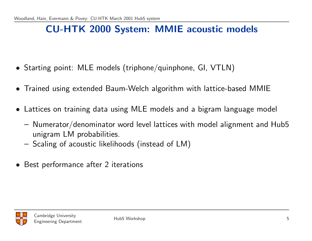#### CU-HTK 2000 System: MMIE acoustic models

- Starting point: MLE models (triphone/quinphone, GI, VTLN)
- Trained using extended Baum-Welch algorithm with lattice-based MMIE
- Lattices on training data using MLE models and a bigram language model
	- Numerator/denominator word level lattices with model alignment and Hub5 unigram LM probabilities.
	- Scaling of acoustic likelihoods (instead of LM)
- Best performance after 2 iterations

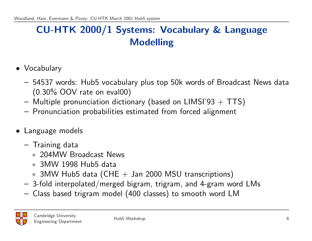## CU-HTK 2000/1 Systems: Vocabulary & Language Modelling

- Vocabulary
	- 54537 words: Hub5 vocabulary plus top 50k words of Broadcast News data (0.30% OOV rate on eval00)
	- Multiple pronunciation dictionary (based on LIMSI'93  $+$  TTS)
	- Pronunciation probabilities estimated from forced alignment
- Language models
	- Training data
		- ∗ 204MW Broadcast News
		- ∗ 3MW 1998 Hub5 data
		- $*$  3MW Hub5 data (CHE  $+$  Jan 2000 MSU transcriptions)
	- 3-fold interpolated/merged bigram, trigram, and 4-gram word LMs
	- Class based trigram model (400 classes) to smooth word LM

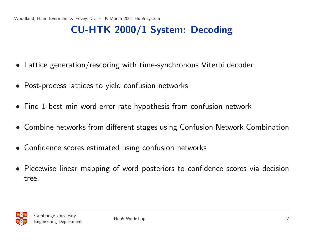## CU-HTK 2000/1 System: Decoding

- Lattice generation/rescoring with time-synchronous Viterbi decoder
- Post-process lattices to yield confusion networks
- Find 1-best min word error rate hypothesis from confusion network
- Combine networks from different stages using Confusion Network Combination
- Confidence scores estimated using confusion networks
- Piecewise linear mapping of word posteriors to confidence scores via decision tree.

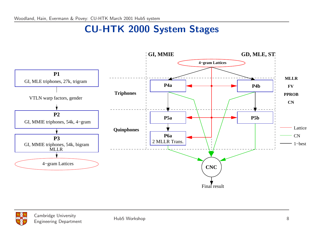#### CU-HTK 2000 System Stages

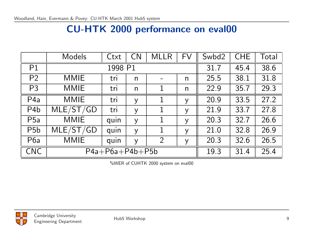### CU-HTK 2000 performance on eval00

|                  | <b>Models</b>                                     | Ctxt              | CN           | <b>MLLR</b>    | <b>FV</b>    | Swbd2 | <b>CHE</b> | Total |
|------------------|---------------------------------------------------|-------------------|--------------|----------------|--------------|-------|------------|-------|
| P <sub>1</sub>   | 1998 P1                                           |                   |              | 31.7           | 45.4         | 38.6  |            |       |
| P <sub>2</sub>   | <b>MMIE</b>                                       | tri               | $\mathsf{n}$ |                | $\mathsf{n}$ | 25.5  | 38.1       | 31.8  |
| P <sub>3</sub>   | <b>MMIE</b>                                       | tri               | $\mathsf{n}$ | 1              | $\mathsf{n}$ | 22.9  | 35.7       | 29.3  |
| P <sub>4</sub> a | <b>MMIE</b>                                       | tri               | y            | 1              | y            | 20.9  | 33.5       | 27.2  |
| P <sub>4</sub> b | MLE/ST/GD                                         | tri               | y            | 1              | y            | 219   | 33.7       | 27.8  |
| P5a              | <b>MMIE</b>                                       | quin              | y            | 1              | y            | 20.3  | 32.7       | 26.6  |
| P <sub>5</sub> b | $\overline{\mathsf{MLE}}/\mathsf{ST}/\mathsf{GD}$ | quin              | y            | 1              | y            | 21.0  | 32.8       | 26.9  |
| P <sub>6</sub> a | <b>MMIE</b>                                       | quin              | y            | $\overline{2}$ | y            | 20.3  | 32.6       | 26.5  |
| <b>CNC</b>       |                                                   | $P4a+P6a+P4b+P5b$ |              |                |              | 19.3  | 31.4       | 25.4  |

%WER of CUHTK 2000 system on eval00

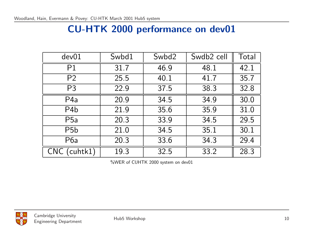### CU-HTK 2000 performance on dev01

| dev01                  | Swbd1 | Swbd2 | Swdb <sub>2</sub> cell | Total |
|------------------------|-------|-------|------------------------|-------|
| P <sub>1</sub>         | 31.7  | 46.9  | 48.1                   | 42.1  |
| P <sub>2</sub>         | 25.5  | 40.1  | 41.7                   | 35.7  |
| P <sub>3</sub>         | 22.9  | 37.5  | 38.3                   | 32.8  |
| P <sub>4</sub> a       | 20.9  | 34.5  | 34.9                   | 30.0  |
| P <sub>4</sub> b       | 21.9  | 35.6  | 35.9                   | 31.0  |
| P <sub>5</sub> a       | 20.3  | 33.9  | 34.5                   | 29.5  |
| P <sub>5</sub> b       | 21.0  | 34.5  | 35.1                   | 30.1  |
| P6a                    | 20.3  | 33.6  | 34.3                   | 29.4  |
| (cuhtk1)<br><b>CNC</b> | 19.3  | 32.5  | 33.2                   | 28.3  |

%WER of CUHTK 2000 system on dev01

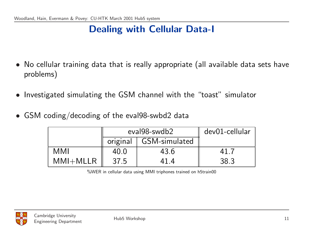### Dealing with Cellular Data-I

- No cellular training data that is really appropriate (all available data sets have problems)
- Investigated simulating the GSM channel with the "toast" simulator
- GSM coding/decoding of the eval98-swbd2 data

|           |                          | eval98-swdb2 | dev01-cellular |
|-----------|--------------------------|--------------|----------------|
|           | original   GSM-simulated |              |                |
| MMI       | 40.0                     | 43.6         |                |
| $MM+MLLR$ | 37.5                     |              | 38.3           |

%WER in cellular data using MMI triphones trained on h5train00

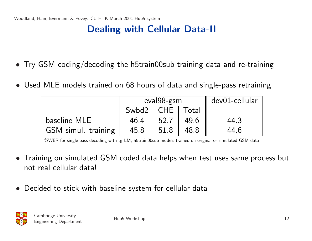## Dealing with Cellular Data-II

- Try GSM coding/decoding the h5train00sub training data and re-training
- Used MLE models trained on 68 hours of data and single-pass retraining

|                            | eval98-gsm    |      |       | dev01-cellular |
|----------------------------|---------------|------|-------|----------------|
|                            | $Swbd2$   CHE |      | Total |                |
| baseline MLE               | 46.4          | 52.7 | 49.6  | 44.3           |
| <b>GSM</b> simul. training | 45.8          | 51.8 | 48.8  | 44.6           |

%WER for single-pass decoding with tg LM, h5train00sub models trained on original or simulated GSM data

- Training on simulated GSM coded data helps when test uses same process but not real cellular data!
- Decided to stick with baseline system for cellular data

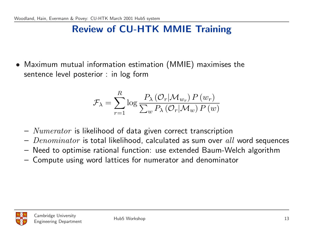## Review of CU-HTK MMIE Training

• Maximum mutual information estimation (MMIE) maximises the sentence level posterior : in log form

$$
\mathcal{F}_{\lambda} = \sum_{r=1}^{R} \log \frac{P_{\lambda}(\mathcal{O}_{r} | \mathcal{M}_{w_r}) P(w_r)}{\sum_{w} P_{\lambda}(\mathcal{O}_{r} | \mathcal{M}_{w}) P(w)}
$$

- $Numerator$  is likelihood of data given correct transcription
- $Denominator$  is total likelihood, calculated as sum over all word sequences
- Need to optimise rational function: use extended Baum-Welch algorithm
- Compute using word lattices for numerator and denominator

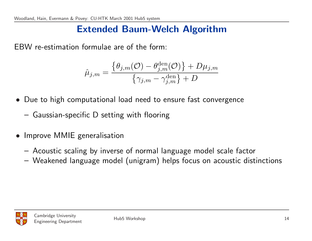#### Extended Baum-Welch Algorithm

EBW re-estimation formulae are of the form:

$$
\hat{\mu}_{j,m} = \frac{\{\theta_{j,m}(\mathcal{O}) - \theta_{j,m}^{\text{den}}(\mathcal{O})\} + D\mu_{j,m}}{\{\gamma_{j,m} - \gamma_{j,m}^{\text{den}}\} + D}
$$

- Due to high computational load need to ensure fast convergence
	- Gaussian-specific D setting with flooring
- Improve MMIE generalisation
	- Acoustic scaling by inverse of normal language model scale factor
	- Weakened language model (unigram) helps focus on acoustic distinctions

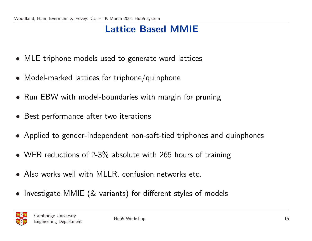## Lattice Based MMIE

- MLE triphone models used to generate word lattices
- Model-marked lattices for triphone/quinphone
- Run EBW with model-boundaries with margin for pruning
- Best performance after two iterations
- Applied to gender-independent non-soft-tied triphones and quinphones
- WER reductions of 2-3% absolute with 265 hours of training
- Also works well with MLLR, confusion networks etc.
- Investigate MMIE (& variants) for different styles of models

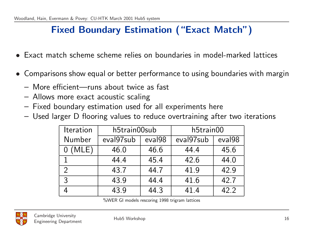### Fixed Boundary Estimation ("Exact Match")

- Exact match scheme scheme relies on boundaries in model-marked lattices
- Comparisons show equal or better performance to using boundaries with margin
	- More efficient—runs about twice as fast
	- Allows more exact acoustic scaling
	- Fixed boundary estimation used for all experiments here
	- Used larger D flooring values to reduce overtraining after two iterations

| <b>Iteration</b> | h5train00sub |                    | h5train00 |                    |
|------------------|--------------|--------------------|-----------|--------------------|
| Number           | eval97sub    | eval <sub>98</sub> | eval97sub | eval <sub>98</sub> |
| (MLE)            | 46.0         | 46.6               | 44.4      | 45.6               |
|                  | 44.4         | 45.4               | 42.6      | 44.0               |
| $\mathcal{D}$    | 43.7         | 447                | 41.9      | 42.9               |
| 3                | 43.9         | 44.4               | 41.6      | 42.7               |
|                  | 43.9         | 44.3               | 41.4      | 42.2               |

%WER GI models rescoring 1998 trigram lattices

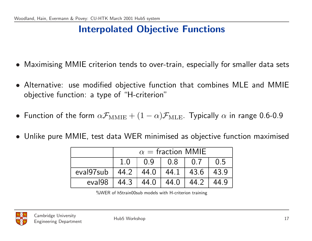## Interpolated Objective Functions

- Maximising MMIE criterion tends to over-train, especially for smaller data sets
- Alternative: use modified objective function that combines MLE and MMIE objective function: a type of "H-criterion"
- Function of the form  $\alpha F_{\text{MMIE}} + (1 \alpha) F_{\text{MLE}}$ . Typically  $\alpha$  in range 0.6-0.9
- Unlike pure MMIE, test data WER minimised as objective function maximised

|                                              | $\alpha$ = fraction MMIE |                                                                                                                                                       |      |      |  |  |
|----------------------------------------------|--------------------------|-------------------------------------------------------------------------------------------------------------------------------------------------------|------|------|--|--|
|                                              | 1.0                      | 0.9<br>$\begin{array}{c} 0.8 \end{array}$<br>$\begin{matrix} 0.7 \end{matrix}$<br>$\begin{array}{cc} \begin{array}{cc} \end{array} & 0.5 \end{array}$ |      |      |  |  |
| eval97sub   44.2   44.0   44.1   43.6   43.9 |                          |                                                                                                                                                       |      |      |  |  |
| eval98                                       | 44.3                     | 44.0                                                                                                                                                  | 44.0 | 44.2 |  |  |

%WER of h5train00sub models with H-criterion training

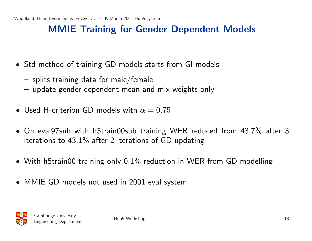#### MMIE Training for Gender Dependent Models

- Std method of training GD models starts from GI models
	- splits training data for male/female
	- update gender dependent mean and mix weights only
- Used H-criterion GD models with  $\alpha = 0.75$
- On eval97sub with h5train00sub training WER reduced from 43.7% after 3 iterations to 43.1% after 2 iterations of GD updating
- With h5train00 training only 0.1% reduction in WER from GD modelling
- MMIE GD models not used in 2001 eval system

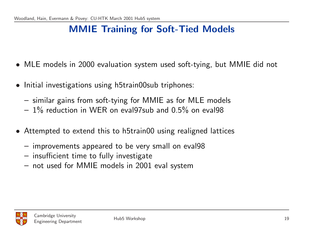### MMIE Training for Soft-Tied Models

- MLE models in 2000 evaluation system used soft-tying, but MMIE did not
- Initial investigations using h5train00sub triphones:
	- similar gains from soft-tying for MMIE as for MLE models
	- $-1\%$  reduction in WER on eval97sub and 0.5% on eval98
- Attempted to extend this to h5train00 using realigned lattices
	- improvements appeared to be very small on eval98
	- insufficient time to fully investigate
	- not used for MMIE models in 2001 eval system

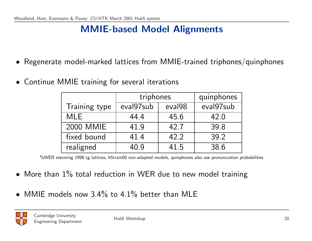### MMIE-based Model Alignments

- Regenerate model-marked lattices from MMIE-trained triphones/quinphones
- Continue MMIE training for several iterations

|               | triphones | quinphones |           |
|---------------|-----------|------------|-----------|
| Training type | eval97sub | eval98     | eval97sub |
| <b>MLE</b>    | 44.4      | 45.6       | 42.0      |
| 2000 MMIE     | 41.9      | 42.7       | 39.8      |
| fixed bound   | 41.4      | 42.2       | 39.2      |
| realigned     | 40.9      | 41.5       | 38.6      |

%WER rescoring 1998 tg lattices, h5train00 non-adapted models, quinphones also use pronunciation probabilities

- More than 1% total reduction in WER due to new model training
- MMIE models now 3.4% to 4.1% better than MLE

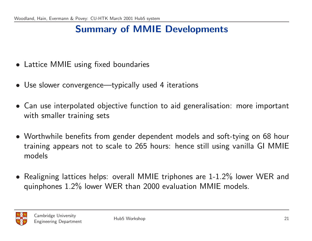## Summary of MMIE Developments

- Lattice MMIE using fixed boundaries
- Use slower convergence—typically used 4 iterations
- Can use interpolated objective function to aid generalisation: more important with smaller training sets
- Worthwhile benefits from gender dependent models and soft-tying on 68 hour training appears not to scale to 265 hours: hence still using vanilla GI MMIE models
- Realigning lattices helps: overall MMIE triphones are 1-1.2% lower WER and quinphones 1.2% lower WER than 2000 evaluation MMIE models.

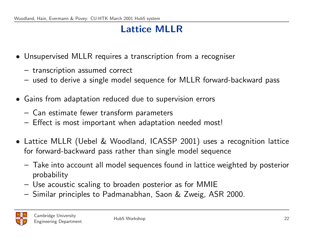## Lattice MLLR

- Unsupervised MLLR requires a transcription from a recogniser
	- transcription assumed correct
	- used to derive a single model sequence for MLLR forward-backward pass
- Gains from adaptation reduced due to supervision errors
	- Can estimate fewer transform parameters
	- Effect is most important when adaptation needed most!
- Lattice MLLR (Uebel & Woodland, ICASSP 2001) uses a recognition lattice for forward-backward pass rather than single model sequence
	- Take into account all model sequences found in lattice weighted by posterior probability
	- Use acoustic scaling to broaden posterior as for MMIE
	- Similar principles to Padmanabhan, Saon & Zweig, ASR 2000.

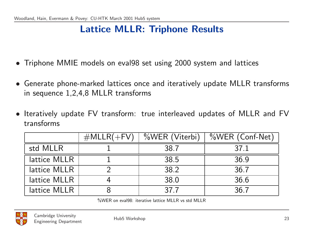#### Lattice MLLR: Triphone Results

- Triphone MMIE models on eval98 set using 2000 system and lattices
- Generate phone-marked lattices once and iteratively update MLLR transforms in sequence 1,2,4,8 MLLR transforms
- Iteratively update FV transform: true interleaved updates of MLLR and FV transforms

|              | $#MLLR(+FV)$ | %WER (Viterbi) | %WER (Conf-Net) |
|--------------|--------------|----------------|-----------------|
| std MLLR     |              | 38.7           | 37 1            |
| lattice MLLR |              | 38.5           | 36.9            |
| lattice MLLR |              | 38.2           | 36.7            |
| lattice MLLR |              | 38.0           | 36.6            |
| lattice MLLR |              | 37 7           | 367             |

%WER on eval98: iterative lattice MLLR vs std MLLR

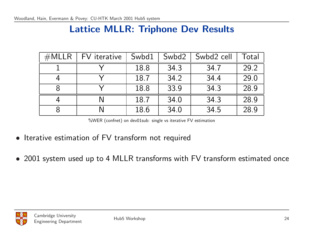#### Lattice MLLR: Triphone Dev Results

| $\#\textsf{MLLR}$ | FV iterative | Swbd1 | Swbd2 | Swbd2 cell | Total |
|-------------------|--------------|-------|-------|------------|-------|
|                   |              | 18.8  | 34 3  | 34.7       | 29.2  |
|                   |              | 18.7  | 34.2  | 34.4       | 29.0  |
|                   |              | 18.8  | 33.9  | 34.3       | 28.9  |
|                   |              | 18.7  | 34.0  | 34 3       | 28.9  |
|                   |              | 18.6  | 34.0  | 34.5       | 28.9  |

%WER (confnet) on dev01sub: single vs iterative FV estimation

- Iterative estimation of FV transform not required
- 2001 system used up to 4 MLLR transforms with FV transform estimated once

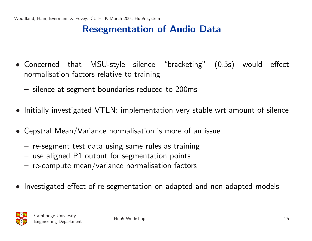#### Resegmentation of Audio Data

- Concerned that MSU-style silence "bracketing" (0.5s) would effect normalisation factors relative to training
	- silence at segment boundaries reduced to 200ms
- Initially investigated VTLN: implementation very stable wrt amount of silence
- Cepstral Mean/Variance normalisation is more of an issue
	- re-segment test data using same rules as training
	- use aligned P1 output for segmentation points
	- $-$  re-compute mean/variance normalisation factors
- Investigated effect of re-segmentation on adapted and non-adapted models

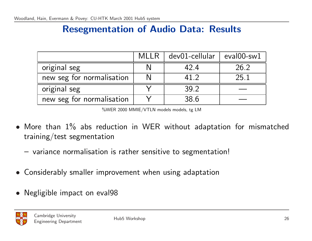#### Resegmentation of Audio Data: Results

|                           | <b>MLLR</b> | dev01-cellular | $eval00$ -sw $1$ |
|---------------------------|-------------|----------------|------------------|
| original seg              |             | 42.4           | 26.2             |
| new seg for normalisation |             | 41 2           | 25.1             |
| original seg              |             | 39.2           |                  |
| new seg for normalisation |             | 38.6           |                  |

%WER 2000 MMIE/VTLN models models, tg LM

- More than 1% abs reduction in WER without adaptation for mismatched training/test segmentation
	- variance normalisation is rather sensitive to segmentation!
- Considerably smaller improvement when using adaptation
- Negligible impact on eval98

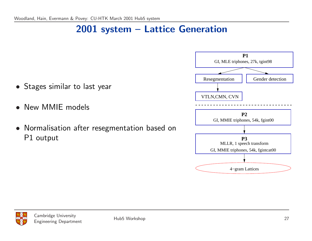### 2001 system – Lattice Generation

- Stages similar to last year
- New MMIE models
- Normalisation after resegmentation based on P1 output



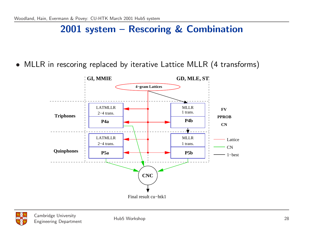#### 2001 system – Rescoring & Combination

• MLLR in rescoring replaced by iterative Lattice MLLR (4 transforms)

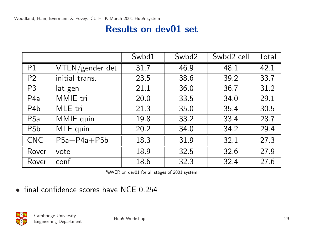#### Results on dev01 set

|                  |                 | Swbd1 | Swbd2 | Swbd2 cell | Total |
|------------------|-----------------|-------|-------|------------|-------|
| P <sub>1</sub>   | VTLN/gender det | 31.7  | 46.9  | 48.1       | 42.1  |
| P <sub>2</sub>   | initial trans.  | 23.5  | 38.6  | 39.2       | 33.7  |
| P <sub>3</sub>   | lat gen         | 21.1  | 36.0  | 36.7       | 31.2  |
| P <sub>4</sub> a | MMIE tri        | 20.0  | 33.5  | 34.0       | 29.1  |
| P <sub>4</sub> b | MLE tri         | 21.3  | 35.0  | 35.4       | 30.5  |
| P <sub>5</sub> a | MMIE quin       | 19.8  | 33.2  | 33.4       | 28.7  |
| P <sub>5</sub> b | MLE quin        | 20.2  | 34.0  | 34.2       | 29.4  |
| <b>CNC</b>       | $P5a+P4a+P5b$   | 18.3  | 31.9  | 32.1       | 27.3  |
| Rover            | vote            | 18.9  | 32.5  | 32.6       | 27.9  |
| Rover            | conf            | 18.6  | 32.3  | 32.4       | 27.6  |

%WER on dev01 for all stages of 2001 system

• final confidence scores have NCE 0.254

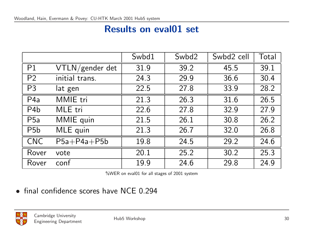#### Results on eval01 set

|                  |                 | Swbd1 | Swbd2 | Swbd2 cell | Total |
|------------------|-----------------|-------|-------|------------|-------|
| P <sub>1</sub>   | VTLN/gender det | 31.9  | 39.2  | 45.5       | 39 1  |
| P <sub>2</sub>   | initial trans.  | 24.3  | 29.9  | 36.6       | 30.4  |
| P <sub>3</sub>   | lat gen         | 22.5  | 27.8  | 33.9       | 28.2  |
| P <sub>4a</sub>  | MMIE tri        | 21.3  | 26.3  | 31.6       | 26.5  |
| P <sub>4</sub> b | MLE tri         | 22.6  | 27.8  | 32.9       | 27.9  |
| <b>P5a</b>       | MMIE quin       | 21.5  | 26.1  | 30.8       | 26.2  |
| P <sub>5</sub> b | MLE quin        | 21.3  | 26.7  | 32.0       | 26.8  |
| <b>CNC</b>       | $P5a+P4a+P5b$   | 19.8  | 24.5  | 29.2       | 24.6  |
| Rover            | vote            | 20.1  | 25.2  | 30.2       | 25.3  |
| Rover            | conf            | 19.9  | 24.6  | 29.8       | 24.9  |

%WER on eval01 for all stages of 2001 system

• final confidence scores have NCE 0.294

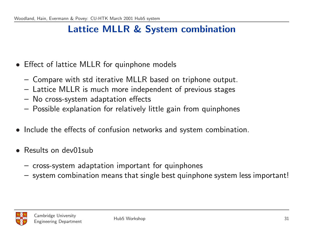### Lattice MLLR & System combination

- Effect of lattice MLLR for quinphone models
	- Compare with std iterative MLLR based on triphone output.
	- Lattice MLLR is much more independent of previous stages
	- No cross-system adaptation effects
	- Possible explanation for relatively little gain from quinphones
- Include the effects of confusion networks and system combination.
- Results on dev01sub
	- cross-system adaptation important for quinphones
	- system combination means that single best quinphone system less important!

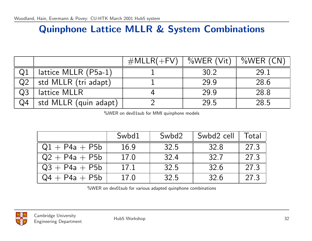#### Quinphone Lattice MLLR & System Combinations

|                |                       | $#MLLR(+FV)$ | $\%$ WER (Vit) | $\%$ WER (CN) |
|----------------|-----------------------|--------------|----------------|---------------|
|                | lattice MLLR (P5a-1)  |              | 30.2           | 29.1          |
| Q <sub>2</sub> | std MLLR (tri adapt)  |              | 29.9           | 28.6          |
| Q <sub>3</sub> | lattice MLLR          |              | 29.9           | 28.8          |
| Q <sub>4</sub> | std MLLR (quin adapt) |              | 29.5           | 28.5          |

%WER on dev01sub for MMI quinphone models

|                  | Swbd1 | Swbd2 | Swbd2 cell | Total           |
|------------------|-------|-------|------------|-----------------|
| $Q1 + P4a + P5b$ | 16.9  | 32.5  | 32.8       | 27 <sup>3</sup> |
| $Q2 + P4a + P5b$ | 17.0  | 32.4  | 32.7       | 27.3            |
| $Q3 + P4a + P5b$ | 17.1  | 32.5  | 32.6       | 27.3            |
| $Q4 + P4a + P5b$ | 17.0  | 32.5  | 32.6       | 27.3            |

%WER on dev01sub for various adapted quinphone combinations

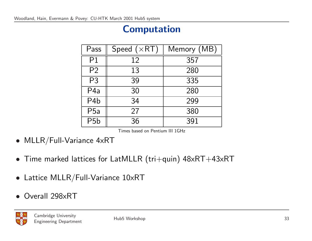## Computation

| Pass             | Speed $(xRT)$ | Memory (MB) |
|------------------|---------------|-------------|
| P <sub>1</sub>   | 12            | 357         |
| P <sub>2</sub>   | 13            | 280         |
| P <sub>3</sub>   | 39            | 335         |
| P4a              | 30            | 280         |
| P <sub>4</sub> b | 34            | 299         |
| <b>P5a</b>       | 27            | 380         |
| P <sub>5</sub> b | 36            | 391         |

Times based on Pentium III 1GHz

- MLLR/Full-Variance 4xRT
- Time marked lattices for LatMLLR (tri+quin) 48xRT+43xRT
- Lattice MLLR/Full-Variance 10xRT
- Overall 298xRT

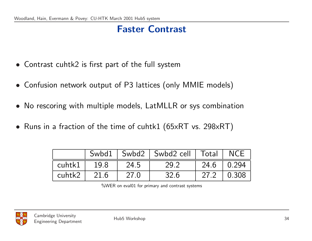## Faster Contrast

- Contrast cuhtk2 is first part of the full system
- Confusion network output of P3 lattices (only MMIE models)
- No rescoring with multiple models, LatMLLR or sys combination
- Runs in a fraction of the time of cuhtk1 (65xRT vs. 298xRT)

|        |      |      | Swbd1   Swbd2   Swbd2 cell   Total   NCE |                |               |
|--------|------|------|------------------------------------------|----------------|---------------|
| cuhtk1 | 19.8 | 24.5 | 29.2                                     | $24.6$   0.294 |               |
| cuhtk2 | 21.6 | 27.0 | 32.6                                     | 27.2           | $\vert$ 0.308 |

%WER on eval01 for primary and contrast systems

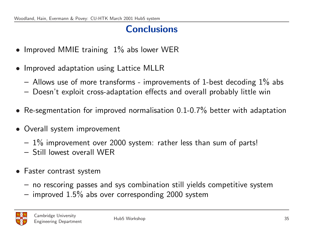### **Conclusions**

- Improved MMIE training 1% abs lower WER
- Improved adaptation using Lattice MLLR
	- $-$  Allows use of more transforms improvements of 1-best decoding  $1\%$  abs
	- Doesn't exploit cross-adaptation effects and overall probably little win
- Re-segmentation for improved normalisation 0.1-0.7% better with adaptation
- Overall system improvement
	- $-1\%$  improvement over 2000 system: rather less than sum of parts!
	- Still lowest overall WER
- Faster contrast system
	- no rescoring passes and sys combination still yields competitive system
	- $-$  improved 1.5% abs over corresponding 2000 system

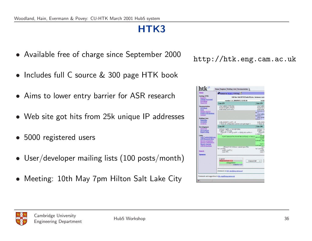# HTK3

- Available free of charge since September 2000
- Includes full C source & 300 page HTK book
- Aims to lower entry barrier for ASR research
- Web site got hits from 25k unique IP addresses
- 5000 registered users
- User/developer mailing lists (100 posts/month)
- Meeting: 10th May 7pm Hilton Salt Lake City

http://htk.eng.cam.ac.uk